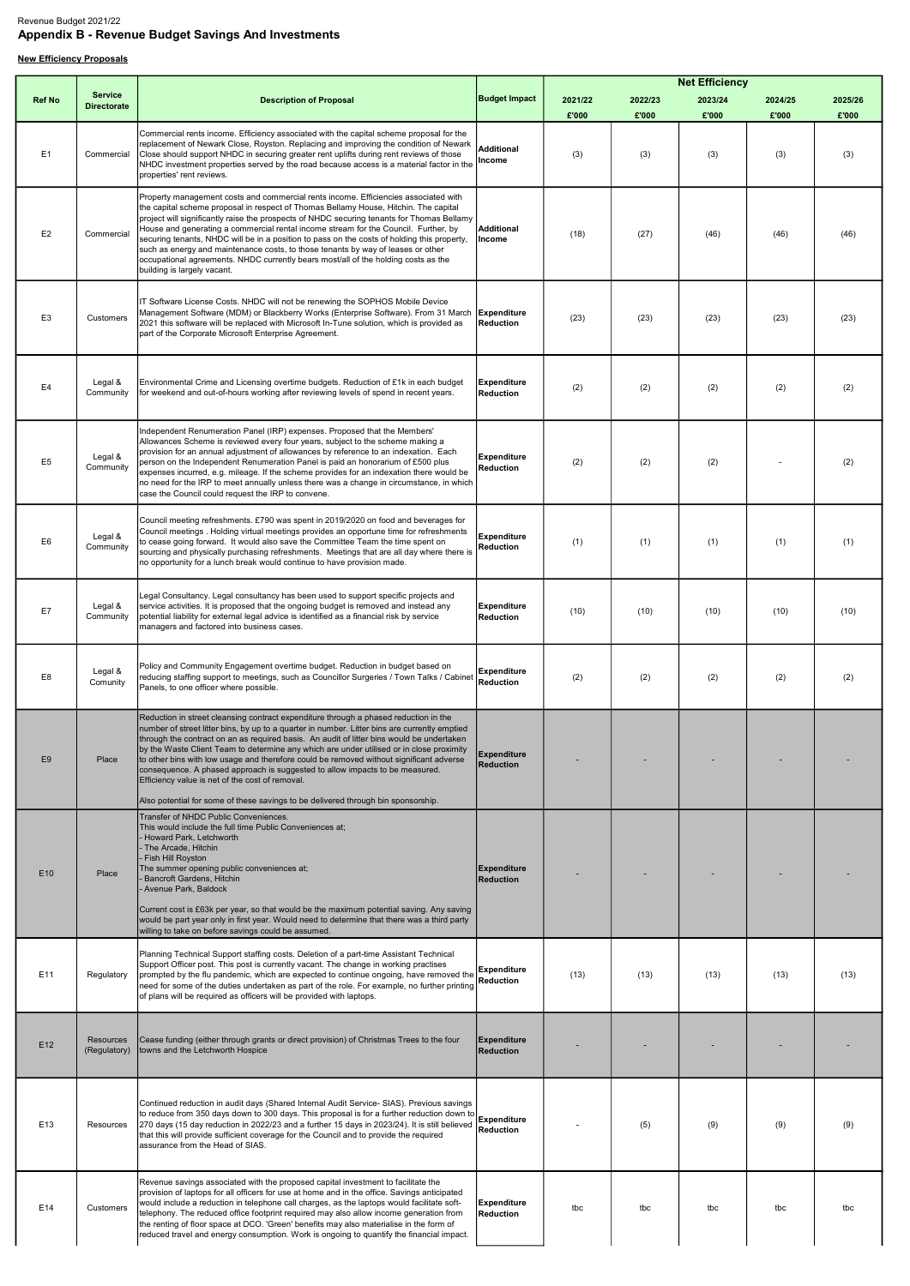## Revenue Budget 2021/22 Appendix B - Revenue Budget Savings And Investments

## **New Efficiency Proposals**

|                 |                           |                                                                                                                                                                                                                                                                                                                                                                                                                                                                                                                                                                                                                                                                                                   |                                        |         |         | <b>Net Efficiency</b> |         |         |
|-----------------|---------------------------|---------------------------------------------------------------------------------------------------------------------------------------------------------------------------------------------------------------------------------------------------------------------------------------------------------------------------------------------------------------------------------------------------------------------------------------------------------------------------------------------------------------------------------------------------------------------------------------------------------------------------------------------------------------------------------------------------|----------------------------------------|---------|---------|-----------------------|---------|---------|
| <b>Ref No</b>   | <b>Service</b>            | <b>Description of Proposal</b>                                                                                                                                                                                                                                                                                                                                                                                                                                                                                                                                                                                                                                                                    | <b>Budget Impact</b>                   | 2021/22 | 2022/23 | 2023/24               | 2024/25 | 2025/26 |
|                 | <b>Directorate</b>        |                                                                                                                                                                                                                                                                                                                                                                                                                                                                                                                                                                                                                                                                                                   |                                        | £'000   | £'000   | £'000                 | £'000   | £'000   |
| E <sub>1</sub>  | Commercial                | Commercial rents income. Efficiency associated with the capital scheme proposal for the<br>replacement of Newark Close, Royston. Replacing and improving the condition of Newark<br>Close should support NHDC in securing greater rent uplifts during rent reviews of those<br>NHDC investment properties served by the road because access is a material factor in the<br>properties' rent reviews.                                                                                                                                                                                                                                                                                              | Additional<br>Income                   | (3)     | (3)     | (3)                   | (3)     | (3)     |
| E <sub>2</sub>  | Commercial                | Property management costs and commercial rents income. Efficiencies associated with<br>the capital scheme proposal in respect of Thomas Bellamy House, Hitchin. The capital<br>project will significantly raise the prospects of NHDC securing tenants for Thomas Bellamy<br>House and generating a commercial rental income stream for the Council. Further, by<br>securing tenants, NHDC will be in a position to pass on the costs of holding this property,<br>such as energy and maintenance costs, to those tenants by way of leases or other<br>occupational agreements. NHDC currently bears most/all of the holding costs as the<br>building is largely vacant.                          | <b>Additional</b><br>Income            | (18)    | (27)    | (46)                  | (46)    | (46)    |
| E <sub>3</sub>  | Customers                 | IT Software License Costs. NHDC will not be renewing the SOPHOS Mobile Device<br>Management Software (MDM) or Blackberry Works (Enterprise Software). From 31 March<br>2021 this software will be replaced with Microsoft In-Tune solution, which is provided as<br>part of the Corporate Microsoft Enterprise Agreement.                                                                                                                                                                                                                                                                                                                                                                         | Expenditure<br>Reduction               | (23)    | (23)    | (23)                  | (23)    | (23)    |
| E4              | Legal &<br>Community      | Environmental Crime and Licensing overtime budgets. Reduction of £1k in each budget<br>for weekend and out-of-hours working after reviewing levels of spend in recent years.                                                                                                                                                                                                                                                                                                                                                                                                                                                                                                                      | Expenditure<br><b>Reduction</b>        | (2)     | (2)     | (2)                   | (2)     | (2)     |
| E <sub>5</sub>  | Legal &<br>Community      | Independent Renumeration Panel (IRP) expenses. Proposed that the Members'<br>Allowances Scheme is reviewed every four years, subject to the scheme making a<br>provision for an annual adjustment of allowances by reference to an indexation. Each<br>person on the Independent Renumeration Panel is paid an honorarium of £500 plus<br>expenses incurred, e.g. mileage. If the scheme provides for an indexation there would be<br>no need for the IRP to meet annually unless there was a change in circumstance, in which<br>case the Council could request the IRP to convene.                                                                                                              | <b>Expenditure</b><br>Reduction        | (2)     | (2)     | (2)                   |         | (2)     |
| E6              | Legal &<br>Community      | Council meeting refreshments. £790 was spent in 2019/2020 on food and beverages for<br>Council meetings . Holding virtual meetings provides an opportune time for refreshments<br>to cease going forward. It would also save the Committee Team the time spent on<br>sourcing and physically purchasing refreshments. Meetings that are all day where there is<br>no opportunity for a lunch break would continue to have provision made.                                                                                                                                                                                                                                                         | <b>Expenditure</b><br><b>Reduction</b> | (1)     | (1)     | (1)                   | (1)     | (1)     |
| E7              | Legal &<br>Community      | Legal Consultancy. Legal consultancy has been used to support specific projects and<br>service activities. It is proposed that the ongoing budget is removed and instead any<br>potential liability for external legal advice is identified as a financial risk by service<br>managers and factored into business cases.                                                                                                                                                                                                                                                                                                                                                                          | <b>Expenditure</b><br>Reduction        | (10)    | (10)    | (10)                  | (10)    | (10)    |
| E8              | Legal &<br>Comunity       | Policy and Community Engagement overtime budget. Reduction in budget based on<br>reducing staffing support to meetings, such as Councillor Surgeries / Town Talks / Cabinet<br>Panels, to one officer where possible.                                                                                                                                                                                                                                                                                                                                                                                                                                                                             | <b>Expenditure</b><br>Reduction        | (2)     | (2)     | (2)                   | (2)     | (2)     |
| E <sub>9</sub>  | Place                     | Reduction in street cleansing contract expenditure through a phased reduction in the<br>number of street litter bins, by up to a quarter in number. Litter bins are currently emptied<br>through the contract on an as required basis. An audit of litter bins would be undertaken<br>by the Waste Client Team to determine any which are under utilised or in close proximity<br>to other bins with low usage and therefore could be removed without significant adverse<br>consequence. A phased approach is suggested to allow impacts to be measured.<br>Efficiency value is net of the cost of removal.<br>Also potential for some of these savings to be delivered through bin sponsorship. | Expenditure<br><b>Reduction</b>        |         |         |                       |         |         |
| E <sub>10</sub> | Place                     | Transfer of NHDC Public Conveniences.<br>This would include the full time Public Conveniences at;<br>Howard Park, Letchworth<br>- The Arcade, Hitchin<br>- Fish Hill Royston<br>The summer opening public conveniences at;<br><b>Bancroft Gardens, Hitchin</b><br>Avenue Park, Baldock<br>Current cost is £63k per year, so that would be the maximum potential saving. Any saving<br>would be part year only in first year. Would need to determine that there was a third party<br>willing to take on before savings could be assumed.                                                                                                                                                          | <b>Expenditure</b><br><b>Reduction</b> |         |         |                       |         |         |
| E11             | Regulatory                | Planning Technical Support staffing costs. Deletion of a part-time Assistant Technical<br>Support Officer post. This post is currently vacant. The change in working practises<br>prompted by the flu pandemic, which are expected to continue ongoing, have removed the<br>need for some of the duties undertaken as part of the role. For example, no further printing<br>of plans will be required as officers will be provided with laptops.                                                                                                                                                                                                                                                  | Expenditure<br><b>Reduction</b>        | (13)    | (13)    | (13)                  | (13)    | (13)    |
| E <sub>12</sub> | Resources<br>(Regulatory) | Cease funding (either through grants or direct provision) of Christmas Trees to the four<br>towns and the Letchworth Hospice                                                                                                                                                                                                                                                                                                                                                                                                                                                                                                                                                                      | Expenditure<br><b>Reduction</b>        |         |         |                       |         |         |
| E13             | Resources                 | Continued reduction in audit days (Shared Internal Audit Service- SIAS). Previous savings<br>to reduce from 350 days down to 300 days. This proposal is for a further reduction down to<br>270 days (15 day reduction in 2022/23 and a further 15 days in 2023/24). It is still believed<br>that this will provide sufficient coverage for the Council and to provide the required<br>lassurance from the Head of SIAS.                                                                                                                                                                                                                                                                           | <b>Expenditure</b><br><b>Reduction</b> |         | (5)     | (9)                   | (9)     | (9)     |
| E14             | Customers                 | Revenue savings associated with the proposed capital investment to facilitate the<br>provision of laptops for all officers for use at home and in the office. Savings anticipated<br>would include a reduction in telephone call charges, as the laptops would facilitate soft-<br>telephony. The reduced office footprint required may also allow income generation from<br>the renting of floor space at DCO. 'Green' benefits may also materialise in the form of<br>reduced travel and energy consumption. Work is ongoing to quantify the financial impact.                                                                                                                                  | <b>Expenditure</b><br><b>Reduction</b> | tbc     | tbc     | tbc                   | tbc     | tbc     |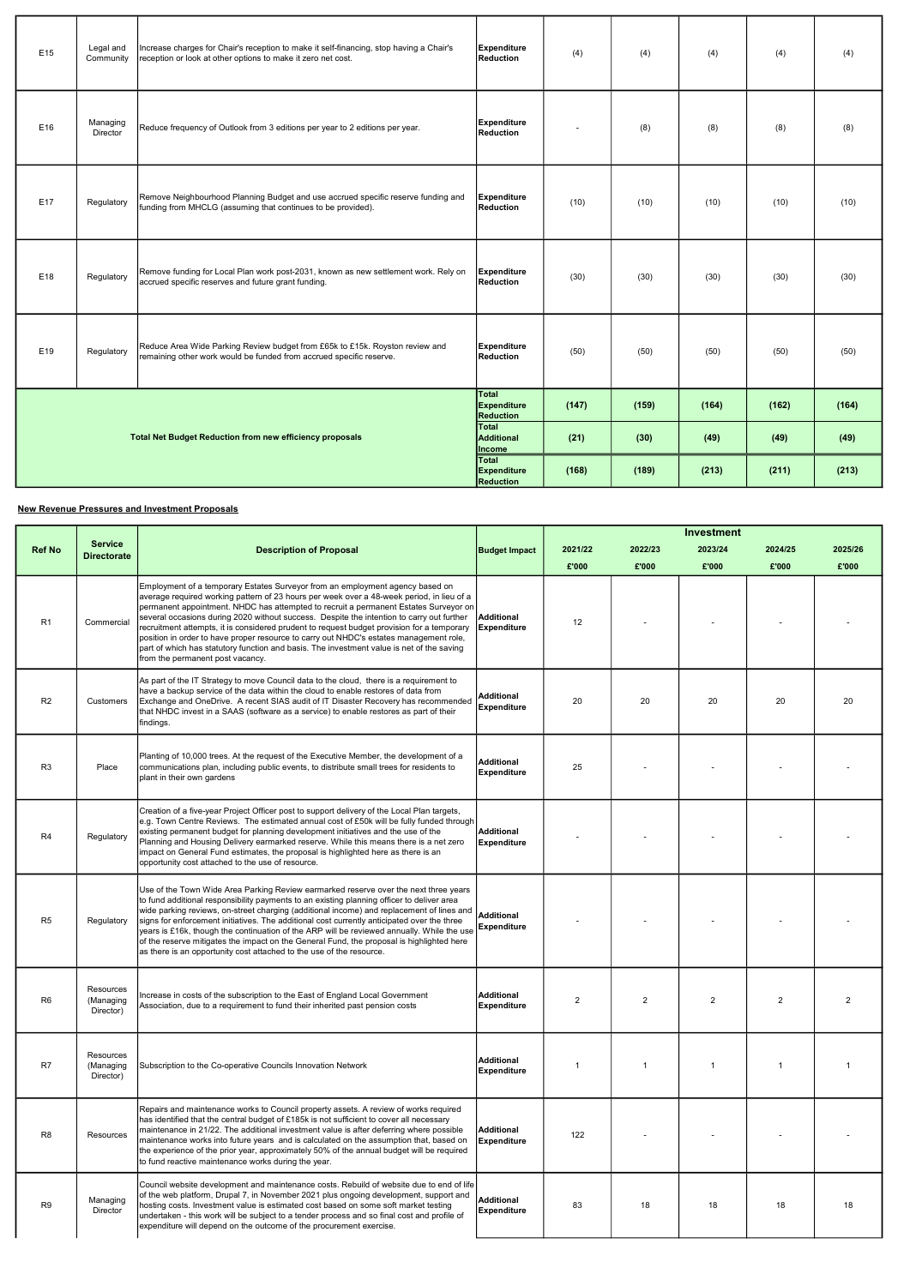#### New Revenue Pressures and Investment Proposals

| E15 | Legal and<br>Community | Increase charges for Chair's reception to make it self-financing, stop having a Chair's<br>reception or look at other options to make it zero net cost. | <b>Expenditure</b><br>Reduction                 | (4)   | (4)   | (4)   | (4)   | (4)   |
|-----|------------------------|---------------------------------------------------------------------------------------------------------------------------------------------------------|-------------------------------------------------|-------|-------|-------|-------|-------|
| E16 | Managing<br>Director   | Reduce frequency of Outlook from 3 editions per year to 2 editions per year.                                                                            | <b>Expenditure</b><br><b>Reduction</b>          |       | (8)   | (8)   | (8)   | (8)   |
| E17 | Regulatory             | Remove Neighbourhood Planning Budget and use accrued specific reserve funding and<br>funding from MHCLG (assuming that continues to be provided).       | <b>Expenditure</b><br>Reduction                 | (10)  | (10)  | (10)  | (10)  | (10)  |
| E18 | Regulatory             | Remove funding for Local Plan work post-2031, known as new settlement work. Rely on<br>accrued specific reserves and future grant funding.              | <b>Expenditure</b><br><b>Reduction</b>          | (30)  | (30)  | (30)  | (30)  | (30)  |
| E19 | Regulatory             | Reduce Area Wide Parking Review budget from £65k to £15k. Royston review and<br>remaining other work would be funded from accrued specific reserve.     | <b>Expenditure</b><br><b>Reduction</b>          | (50)  | (50)  | (50)  | (50)  | (50)  |
|     |                        |                                                                                                                                                         | Total<br><b>Expenditure</b><br><b>Reduction</b> | (147) | (159) | (164) | (162) | (164) |
|     |                        | <b>Total Net Budget Reduction from new efficiency proposals</b>                                                                                         | <b>Total</b><br>Additional<br>Income            | (21)  | (30)  | (49)  | (49)  | (49)  |
|     |                        |                                                                                                                                                         | <b>Total</b><br>Expenditure<br><b>Reduction</b> | (168) | (189) | (213) | (211) | (213) |

|                |                                      |                                                                                                                                                                                                                                                                                                                                                                                                                                                                                                                                                                                                                                                                                          |                                         |                |                | <b>Investment</b> |                |                |
|----------------|--------------------------------------|------------------------------------------------------------------------------------------------------------------------------------------------------------------------------------------------------------------------------------------------------------------------------------------------------------------------------------------------------------------------------------------------------------------------------------------------------------------------------------------------------------------------------------------------------------------------------------------------------------------------------------------------------------------------------------------|-----------------------------------------|----------------|----------------|-------------------|----------------|----------------|
| <b>Ref No</b>  | <b>Service</b><br><b>Directorate</b> | <b>Description of Proposal</b>                                                                                                                                                                                                                                                                                                                                                                                                                                                                                                                                                                                                                                                           | <b>Budget Impact</b>                    | 2021/22        | 2022/23        | 2023/24           | 2024/25        | 2025/26        |
|                |                                      |                                                                                                                                                                                                                                                                                                                                                                                                                                                                                                                                                                                                                                                                                          |                                         | £'000          | £'000          | £'000             | £'000          | £'000          |
| R <sub>1</sub> | Commercial                           | Employment of a temporary Estates Surveyor from an employment agency based on<br>average required working pattern of 23 hours per week over a 48-week period, in lieu of a<br>permanent appointment. NHDC has attempted to recruit a permanent Estates Surveyor on<br>several occasions during 2020 without success. Despite the intention to carry out further<br>recruitment attempts, it is considered prudent to request budget provision for a temporary<br>position in order to have proper resource to carry out NHDC's estates management role,<br>part of which has statutory function and basis. The investment value is net of the saving<br>from the permanent post vacancy. | Additional<br>Expenditure               | 12             |                |                   |                |                |
| R <sub>2</sub> | <b>Customers</b>                     | As part of the IT Strategy to move Council data to the cloud, there is a requirement to<br>have a backup service of the data within the cloud to enable restores of data from<br>Exchange and OneDrive. A recent SIAS audit of IT Disaster Recovery has recommended<br>that NHDC invest in a SAAS (software as a service) to enable restores as part of their<br>findings.                                                                                                                                                                                                                                                                                                               | Additional<br>Expenditure               | 20             | 20             | 20                | 20             | 20             |
| R <sub>3</sub> | Place                                | Planting of 10,000 trees. At the request of the Executive Member, the development of a<br>communications plan, including public events, to distribute small trees for residents to<br>plant in their own gardens                                                                                                                                                                                                                                                                                                                                                                                                                                                                         | <b>Additional</b><br><b>Expenditure</b> | 25             |                |                   |                |                |
| R <sub>4</sub> | Regulatory                           | Creation of a five-year Project Officer post to support delivery of the Local Plan targets,<br>e.g. Town Centre Reviews. The estimated annual cost of £50k will be fully funded through<br>existing permanent budget for planning development initiatives and the use of the<br>Planning and Housing Delivery earmarked reserve. While this means there is a net zero<br>impact on General Fund estimates, the proposal is highlighted here as there is an<br>opportunity cost attached to the use of resource.                                                                                                                                                                          | Additional<br><b>Expenditure</b>        |                |                |                   |                |                |
| R <sub>5</sub> | Regulatory                           | Use of the Town Wide Area Parking Review earmarked reserve over the next three years<br>to fund additional responsibility payments to an existing planning officer to deliver area<br>wide parking reviews, on-street charging (additional income) and replacement of lines and<br>signs for enforcement initiatives. The additional cost currently anticipated over the three<br>years is £16k, though the continuation of the ARP will be reviewed annually. While the use<br>of the reserve mitigates the impact on the General Fund, the proposal is highlighted here<br>as there is an opportunity cost attached to the use of the resource.                                        | <b>Additional</b><br>Expenditure        |                |                |                   |                |                |
| R6             | Resources<br>(Managing<br>Director)  | Increase in costs of the subscription to the East of England Local Government<br>Association, due to a requirement to fund their inherited past pension costs                                                                                                                                                                                                                                                                                                                                                                                                                                                                                                                            | <b>Additional</b><br><b>Expenditure</b> | $\overline{2}$ | $\overline{2}$ | 2                 | $\overline{2}$ | $\overline{2}$ |
| R7             | Resources<br>(Managing<br>Director)  | Subscription to the Co-operative Councils Innovation Network                                                                                                                                                                                                                                                                                                                                                                                                                                                                                                                                                                                                                             | <b>Additional</b><br><b>Expenditure</b> | 1              | -1             |                   | $\mathbf 1$    | $\overline{1}$ |
| R <sub>8</sub> | Resources                            | Repairs and maintenance works to Council property assets. A review of works required<br>has identified that the central budget of £185k is not sufficient to cover all necessary<br>maintenance in 21/22. The additional investment value is after deferring where possible<br>maintenance works into future years and is calculated on the assumption that, based on<br>the experience of the prior year, approximately 50% of the annual budget will be required<br>to fund reactive maintenance works during the year.                                                                                                                                                                | Additional<br><b>Expenditure</b>        | 122            |                |                   |                |                |
| R9             | Managing<br>Director                 | Council website development and maintenance costs. Rebuild of website due to end of life<br>of the web platform, Drupal 7, in November 2021 plus ongoing development, support and<br>hosting costs. Investment value is estimated cost based on some soft market testing<br>undertaken - this work will be subject to a tender process and so final cost and profile of<br>expenditure will depend on the outcome of the procurement exercise.                                                                                                                                                                                                                                           | <b>Additional</b><br><b>Expenditure</b> | 83             | 18             | 18                | 18             | 18             |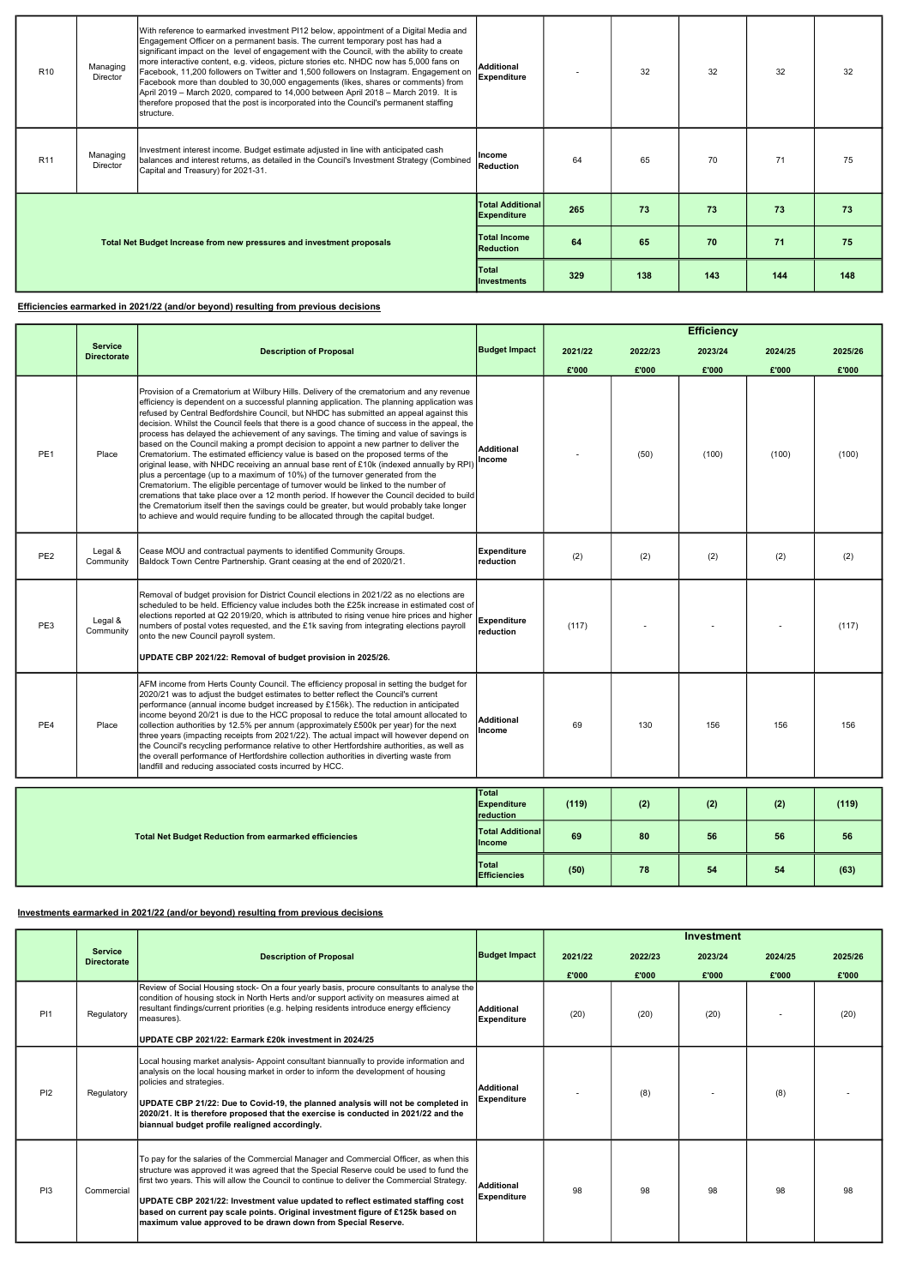## Efficiencies earmarked in 2021/22 (and/or beyond) resulting from previous decisions

| R <sub>10</sub>                                                       | Managing<br>Director        | With reference to earmarked investment PI12 below, appointment of a Digital Media and<br>Engagement Officer on a permanent basis. The current temporary post has had a<br>significant impact on the level of engagement with the Council, with the ability to create<br>more interactive content, e.g. videos, picture stories etc. NHDC now has 5,000 fans on<br>Facebook, 11,200 followers on Twitter and 1,500 followers on Instagram. Engagement on<br>Facebook more than doubled to 30,000 engagements (likes, shares or comments) from<br>April 2019 – March 2020, compared to 14,000 between April 2018 – March 2019. It is<br>therefore proposed that the post is incorporated into the Council's permanent staffing<br>structure. | <b>Additional</b><br><b>Expenditure</b>       |     | 32  | 32  | 32  | 32  |
|-----------------------------------------------------------------------|-----------------------------|--------------------------------------------------------------------------------------------------------------------------------------------------------------------------------------------------------------------------------------------------------------------------------------------------------------------------------------------------------------------------------------------------------------------------------------------------------------------------------------------------------------------------------------------------------------------------------------------------------------------------------------------------------------------------------------------------------------------------------------------|-----------------------------------------------|-----|-----|-----|-----|-----|
| R <sub>11</sub>                                                       | Managing<br><b>Director</b> | Investment interest income. Budget estimate adjusted in line with anticipated cash<br>balances and interest returns, as detailed in the Council's Investment Strategy (Combined<br>Capital and Treasury) for 2021-31.                                                                                                                                                                                                                                                                                                                                                                                                                                                                                                                      | Income<br>Reduction                           | 64  | 65  | 70  | 71  | 75  |
|                                                                       |                             |                                                                                                                                                                                                                                                                                                                                                                                                                                                                                                                                                                                                                                                                                                                                            | <b>Total Additional</b><br><b>Expenditure</b> | 265 | 73  | 73  | 73  | 73  |
| Total Net Budget Increase from new pressures and investment proposals |                             | <b>Total Income</b><br><b>Reduction</b>                                                                                                                                                                                                                                                                                                                                                                                                                                                                                                                                                                                                                                                                                                    | 64                                            | 65  | 70  | 71  | 75  |     |
|                                                                       |                             |                                                                                                                                                                                                                                                                                                                                                                                                                                                                                                                                                                                                                                                                                                                                            | Total<br><b>Investments</b>                   | 329 | 138 | 143 | 144 | 148 |

# Investments earmarked in 2021/22 (and/or beyond) resulting from previous decisions

|                 |                                      |                                                                                                                                                                                                                                                                                                                                                                                                                                                                                                                                                                                                                                                                                                                                                                                                                                                                                                                                                                                                                                                                                                                                                                                                           |                                          |         |         | <b>Efficiency</b> |         |         |
|-----------------|--------------------------------------|-----------------------------------------------------------------------------------------------------------------------------------------------------------------------------------------------------------------------------------------------------------------------------------------------------------------------------------------------------------------------------------------------------------------------------------------------------------------------------------------------------------------------------------------------------------------------------------------------------------------------------------------------------------------------------------------------------------------------------------------------------------------------------------------------------------------------------------------------------------------------------------------------------------------------------------------------------------------------------------------------------------------------------------------------------------------------------------------------------------------------------------------------------------------------------------------------------------|------------------------------------------|---------|---------|-------------------|---------|---------|
|                 | <b>Service</b><br><b>Directorate</b> | <b>Description of Proposal</b>                                                                                                                                                                                                                                                                                                                                                                                                                                                                                                                                                                                                                                                                                                                                                                                                                                                                                                                                                                                                                                                                                                                                                                            | <b>Budget Impact</b>                     | 2021/22 | 2022/23 | 2023/24           | 2024/25 | 2025/26 |
|                 |                                      |                                                                                                                                                                                                                                                                                                                                                                                                                                                                                                                                                                                                                                                                                                                                                                                                                                                                                                                                                                                                                                                                                                                                                                                                           |                                          | £'000   | £'000   | £'000             | £'000   | £'000   |
| PE <sub>1</sub> | Place                                | Provision of a Crematorium at Wilbury Hills. Delivery of the crematorium and any revenue<br>efficiency is dependent on a successful planning application. The planning application was<br>refused by Central Bedfordshire Council, but NHDC has submitted an appeal against this<br>decision. Whilst the Council feels that there is a good chance of success in the appeal, the<br>process has delayed the achievement of any savings. The timing and value of savings is<br>based on the Council making a prompt decision to appoint a new partner to deliver the<br>Crematorium. The estimated efficiency value is based on the proposed terms of the<br>original lease, with NHDC receiving an annual base rent of £10k (indexed annually by RPI)<br>plus a percentage (up to a maximum of 10%) of the turnover generated from the<br>Crematorium. The eligible percentage of turnover would be linked to the number of<br>cremations that take place over a 12 month period. If however the Council decided to build<br>the Crematorium itself then the savings could be greater, but would probably take longer<br>to achieve and would require funding to be allocated through the capital budget. | <b>Additional</b><br>Income              |         | (50)    | (100)             | (100)   | (100)   |
| PE <sub>2</sub> | Legal &<br>Community                 | Cease MOU and contractual payments to identified Community Groups.<br>Baldock Town Centre Partnership. Grant ceasing at the end of 2020/21.                                                                                                                                                                                                                                                                                                                                                                                                                                                                                                                                                                                                                                                                                                                                                                                                                                                                                                                                                                                                                                                               | <b>Expenditure</b><br>reduction          | (2)     | (2)     | (2)               | (2)     | (2)     |
| PE3             | Legal &<br>Community                 | Removal of budget provision for District Council elections in 2021/22 as no elections are<br>scheduled to be held. Efficiency value includes both the £25k increase in estimated cost of<br>elections reported at Q2 2019/20, which is attributed to rising venue hire prices and higher<br>numbers of postal votes requested, and the £1k saving from integrating elections payroll<br>onto the new Council payroll system.<br>UPDATE CBP 2021/22: Removal of budget provision in 2025/26.                                                                                                                                                                                                                                                                                                                                                                                                                                                                                                                                                                                                                                                                                                               | <b>Expenditure</b><br>reduction          | (117)   |         |                   |         | (117)   |
| PE4             | Place                                | AFM income from Herts County Council. The efficiency proposal in setting the budget for<br>2020/21 was to adjust the budget estimates to better reflect the Council's current<br>performance (annual income budget increased by £156k). The reduction in anticipated<br>income beyond 20/21 is due to the HCC proposal to reduce the total amount allocated to<br>collection authorities by 12.5% per annum (approximately £500k per year) for the next<br>three years (impacting receipts from 2021/22). The actual impact will however depend on<br>the Council's recycling performance relative to other Hertfordshire authorities, as well as<br>the overall performance of Hertfordshire collection authorities in diverting waste from<br>landfill and reducing associated costs incurred by HCC.                                                                                                                                                                                                                                                                                                                                                                                                   | <b>Additional</b><br>Income              | 69      | 130     | 156               | 156     | 156     |
|                 |                                      |                                                                                                                                                                                                                                                                                                                                                                                                                                                                                                                                                                                                                                                                                                                                                                                                                                                                                                                                                                                                                                                                                                                                                                                                           | Total<br><b>Expenditure</b><br>reduction | (119)   | (2)     | (2)               | (2)     | (119)   |
|                 |                                      | <b>Total Net Budget Reduction from earmarked efficiencies</b>                                                                                                                                                                                                                                                                                                                                                                                                                                                                                                                                                                                                                                                                                                                                                                                                                                                                                                                                                                                                                                                                                                                                             | <b>Total Additional</b><br>Income        | 69      | 80      | 56                | 56      | 56      |
|                 |                                      |                                                                                                                                                                                                                                                                                                                                                                                                                                                                                                                                                                                                                                                                                                                                                                                                                                                                                                                                                                                                                                                                                                                                                                                                           | <b>Total</b><br><b>Efficiencies</b>      | (50)    | 78      | 54                | 54      | (63)    |

|                 |            |                                                                                                                                                                                                                                                                                                                                                                                                                                                                                                                          |                                         | £'000 | £'000 | £'000 | £'000 | £'000 |
|-----------------|------------|--------------------------------------------------------------------------------------------------------------------------------------------------------------------------------------------------------------------------------------------------------------------------------------------------------------------------------------------------------------------------------------------------------------------------------------------------------------------------------------------------------------------------|-----------------------------------------|-------|-------|-------|-------|-------|
| PI1             | Regulatory | Review of Social Housing stock- On a four yearly basis, procure consultants to analyse the<br>condition of housing stock in North Herts and/or support activity on measures aimed at<br>resultant findings/current priorities (e.g. helping residents introduce energy efficiency<br>measures).<br>UPDATE CBP 2021/22: Earmark £20k investment in 2024/25                                                                                                                                                                | Additional<br><b>Expenditure</b>        | (20)  | (20)  | (20)  |       | (20)  |
| PI2             | Regulatory | Local housing market analysis- Appoint consultant biannually to provide information and<br>analysis on the local housing market in order to inform the development of housing<br>policies and strategies.<br>UPDATE CBP 21/22: Due to Covid-19, the planned analysis will not be completed in<br>2020/21. It is therefore proposed that the exercise is conducted in 2021/22 and the<br>biannual budget profile realigned accordingly.                                                                                   | <b>Additional</b><br><b>Expenditure</b> |       | (8)   |       | (8)   |       |
| P <sub>13</sub> | Commercial | To pay for the salaries of the Commercial Manager and Commercial Officer, as when this<br>structure was approved it was agreed that the Special Reserve could be used to fund the<br>first two years. This will allow the Council to continue to deliver the Commercial Strategy.<br>UPDATE CBP 2021/22: Investment value updated to reflect estimated staffing cost<br>based on current pay scale points. Original investment figure of £125k based on<br>maximum value approved to be drawn down from Special Reserve. | <b>Additional</b><br><b>Expenditure</b> | 98    | 98    | 98    | 98    | 98    |

|                               |                                |                      |         |         | Investment |         |         |
|-------------------------------|--------------------------------|----------------------|---------|---------|------------|---------|---------|
| Service<br><b>Directorate</b> | <b>Description of Proposal</b> | <b>Budget Impact</b> | 2021/22 | 2022/23 | 2023/24    | 2024/25 | 2025/26 |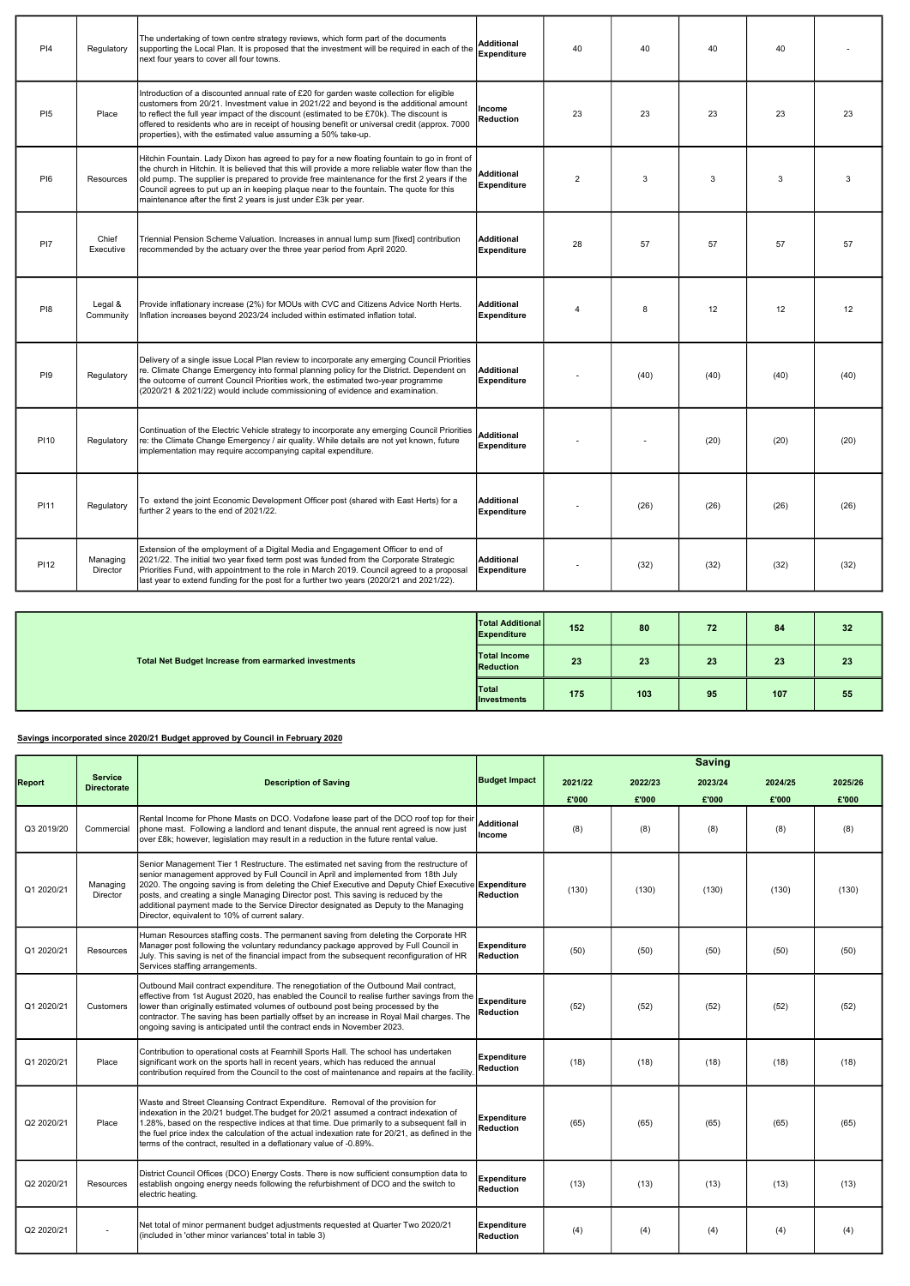| PI4             | Regulatory           | The undertaking of town centre strategy reviews, which form part of the documents<br>supporting the Local Plan. It is proposed that the investment will be required in each of the<br>next four years to cover all four towns.                                                                                                                                                                                                                               | Additional<br><b>Expenditure</b> | 40 | 40   | 40   | 40   |      |
|-----------------|----------------------|--------------------------------------------------------------------------------------------------------------------------------------------------------------------------------------------------------------------------------------------------------------------------------------------------------------------------------------------------------------------------------------------------------------------------------------------------------------|----------------------------------|----|------|------|------|------|
| P <sub>15</sub> | Place                | Introduction of a discounted annual rate of £20 for garden waste collection for eligible<br>customers from 20/21. Investment value in 2021/22 and beyond is the additional amount<br>to reflect the full year impact of the discount (estimated to be £70k). The discount is<br>offered to residents who are in receipt of housing benefit or universal credit (approx. 7000<br>properties), with the estimated value assuming a 50% take-up.                | lincome<br><b>Reduction</b>      | 23 | 23   | 23   | 23   | 23   |
| P <sub>16</sub> | Resources            | Hitchin Fountain. Lady Dixon has agreed to pay for a new floating fountain to go in front of<br>the church in Hitchin. It is believed that this will provide a more reliable water flow than the<br>old pump. The supplier is prepared to provide free maintenance for the first 2 years if the<br>Council agrees to put up an in keeping plaque near to the fountain. The quote for this<br>maintenance after the first 2 years is just under £3k per year. | Additional<br><b>Expenditure</b> | 2  | 3    | 3    | 3    | 3    |
| PI7             | Chief<br>Executive   | Triennial Pension Scheme Valuation. Increases in annual lump sum [fixed] contribution<br>recommended by the actuary over the three year period from April 2020.                                                                                                                                                                                                                                                                                              | Additional<br>Expenditure        | 28 | 57   | 57   | 57   | 57   |
| P <sub>18</sub> | Legal &<br>Community | Provide inflationary increase (2%) for MOUs with CVC and Citizens Advice North Herts.<br>Inflation increases beyond 2023/24 included within estimated inflation total.                                                                                                                                                                                                                                                                                       | Additional<br>Expenditure        | 4  | 8    | 12   | 12   | 12   |
| PI9             | Regulatory           | Delivery of a single issue Local Plan review to incorporate any emerging Council Priorities<br>re. Climate Change Emergency into formal planning policy for the District. Dependent on<br>the outcome of current Council Priorities work, the estimated two-year programme<br>(2020/21 & 2021/22) would include commissioning of evidence and examination.                                                                                                   | Additional<br>Expenditure        |    | (40) | (40) | (40) | (40) |
| <b>P110</b>     | Regulatory           | Continuation of the Electric Vehicle strategy to incorporate any emerging Council Priorities<br>re: the Climate Change Emergency / air quality. While details are not yet known, future<br>implementation may require accompanying capital expenditure.                                                                                                                                                                                                      | Additional<br><b>Expenditure</b> |    |      | (20) | (20) | (20) |
| <b>PI11</b>     | Regulatory           | To  extend the joint Economic Development Officer post (shared with East Herts) tor a<br>further 2 years to the end of 2021/22.                                                                                                                                                                                                                                                                                                                              | Additional<br>Expenditure        |    | (26) | (26) | (26) | (26) |
| PI12            | Managing<br>Director | Extension of the employment of a Digital Media and Engagement Officer to end of<br>2021/22. The initial two year fixed term post was funded from the Corporate Strategic<br>Priorities Fund, with appointment to the role in March 2019. Council agreed to a proposal<br>last year to extend funding for the post for a further two years (2020/21 and 2021/22).                                                                                             | Additional<br>Expenditure        |    | (32) | (32) | (32) | (32) |

### Savings incorporated since 2020/21 Budget approved by Council in February 2020

|                                                      | <b>Total Additional</b><br>Expenditure    | 152 | 80  | 72 | 84  | 32 |
|------------------------------------------------------|-------------------------------------------|-----|-----|----|-----|----|
| Total Net Budget Increase from earmarked investments | <b>Total Income</b><br>Reduction          | 23  | 23  | 23 | 23  | 23 |
|                                                      | <b>Total</b><br><i><b>Investments</b></i> | 175 | 103 | 95 | 107 | 55 |

|            |                                      |                                                                                                                                                                                                                                                                                                                                                                                                                                                                                                                      |                                        |         |         | <b>Saving</b> |         |         |
|------------|--------------------------------------|----------------------------------------------------------------------------------------------------------------------------------------------------------------------------------------------------------------------------------------------------------------------------------------------------------------------------------------------------------------------------------------------------------------------------------------------------------------------------------------------------------------------|----------------------------------------|---------|---------|---------------|---------|---------|
| Report     | <b>Service</b><br><b>Directorate</b> | <b>Description of Saving</b>                                                                                                                                                                                                                                                                                                                                                                                                                                                                                         | <b>Budget Impact</b>                   | 2021/22 | 2022/23 | 2023/24       | 2024/25 | 2025/26 |
|            |                                      |                                                                                                                                                                                                                                                                                                                                                                                                                                                                                                                      |                                        | £'000   | £'000   | £'000         | £'000   | £'000   |
| Q3 2019/20 | Commercial                           | Rental Income for Phone Masts on DCO. Vodafone lease part of the DCO roof top for their<br>phone mast. Following a landlord and tenant dispute, the annual rent agreed is now just<br>over £8k; however, legislation may result in a reduction in the future rental value.                                                                                                                                                                                                                                           | <b>Additional</b><br>Income            | (8)     | (8)     | (8)           | (8)     | (8)     |
| Q1 2020/21 | Managing<br>Director                 | Senior Management Tier 1 Restructure. The estimated net saving from the restructure of<br>senior management approved by Full Council in April and implemented from 18th July<br>2020. The ongoing saving is from deleting the Chief Executive and Deputy Chief Executive Expenditure<br>posts, and creating a single Managing Director post. This saving is reduced by the<br>additional payment made to the Service Director designated as Deputy to the Managing<br>Director, equivalent to 10% of current salary. | <b>Reduction</b>                       | (130)   | (130)   | (130)         | (130)   | (130)   |
| Q1 2020/21 | Resources                            | Human Resources staffing costs. The permanent saving from deleting the Corporate HR<br>Manager post following the voluntary redundancy package approved by Full Council in<br>July. This saving is net of the financial impact from the subsequent reconfiguration of HR<br>Services staffing arrangements.                                                                                                                                                                                                          | <b>Expenditure</b><br>Reduction        | (50)    | (50)    | (50)          | (50)    | (50)    |
| Q1 2020/21 | Customers                            | Outbound Mail contract expenditure. The renegotiation of the Outbound Mail contract,<br>effective from 1st August 2020, has enabled the Council to realise further savings from the<br>lower than originally estimated volumes of outbound post being processed by the<br>contractor. The saving has been partially offset by an increase in Royal Mail charges. The<br>ongoing saving is anticipated until the contract ends in November 2023.                                                                      | <b>Expenditure</b><br><b>Reduction</b> | (52)    | (52)    | (52)          | (52)    | (52)    |
| Q1 2020/21 | Place                                | Contribution to operational costs at Fearnhill Sports Hall. The school has undertaken<br>significant work on the sports hall in recent years, which has reduced the annual<br>contribution required from the Council to the cost of maintenance and repairs at the facility                                                                                                                                                                                                                                          | <b>Expenditure</b><br><b>Reduction</b> | (18)    | (18)    | (18)          | (18)    | (18)    |
| Q2 2020/21 | Place                                | Waste and Street Cleansing Contract Expenditure. Removal of the provision for<br>indexation in the 20/21 budget. The budget for 20/21 assumed a contract indexation of<br>1.28%, based on the respective indices at that time. Due primarily to a subsequent fall in<br>the fuel price index the calculation of the actual indexation rate for 20/21, as defined in the<br>terms of the contract, resulted in a deflationary value of -0.89%.                                                                        | <b>Expenditure</b><br><b>Reduction</b> | (65)    | (65)    | (65)          | (65)    | (65)    |
| Q2 2020/21 | Resources                            | District Council Offices (DCO) Energy Costs. There is now sufficient consumption data to<br>establish ongoing energy needs following the refurbishment of DCO and the switch to<br>electric heating.                                                                                                                                                                                                                                                                                                                 | <b>Expenditure</b><br><b>Reduction</b> | (13)    | (13)    | (13)          | (13)    | (13)    |
| Q2 2020/21 |                                      | Net total of minor permanent budget adjustments requested at Quarter Two 2020/21<br>(included in 'other minor variances' total in table 3)                                                                                                                                                                                                                                                                                                                                                                           | <b>Expenditure</b><br>Reduction        | (4)     | (4)     | (4)           | (4)     | (4)     |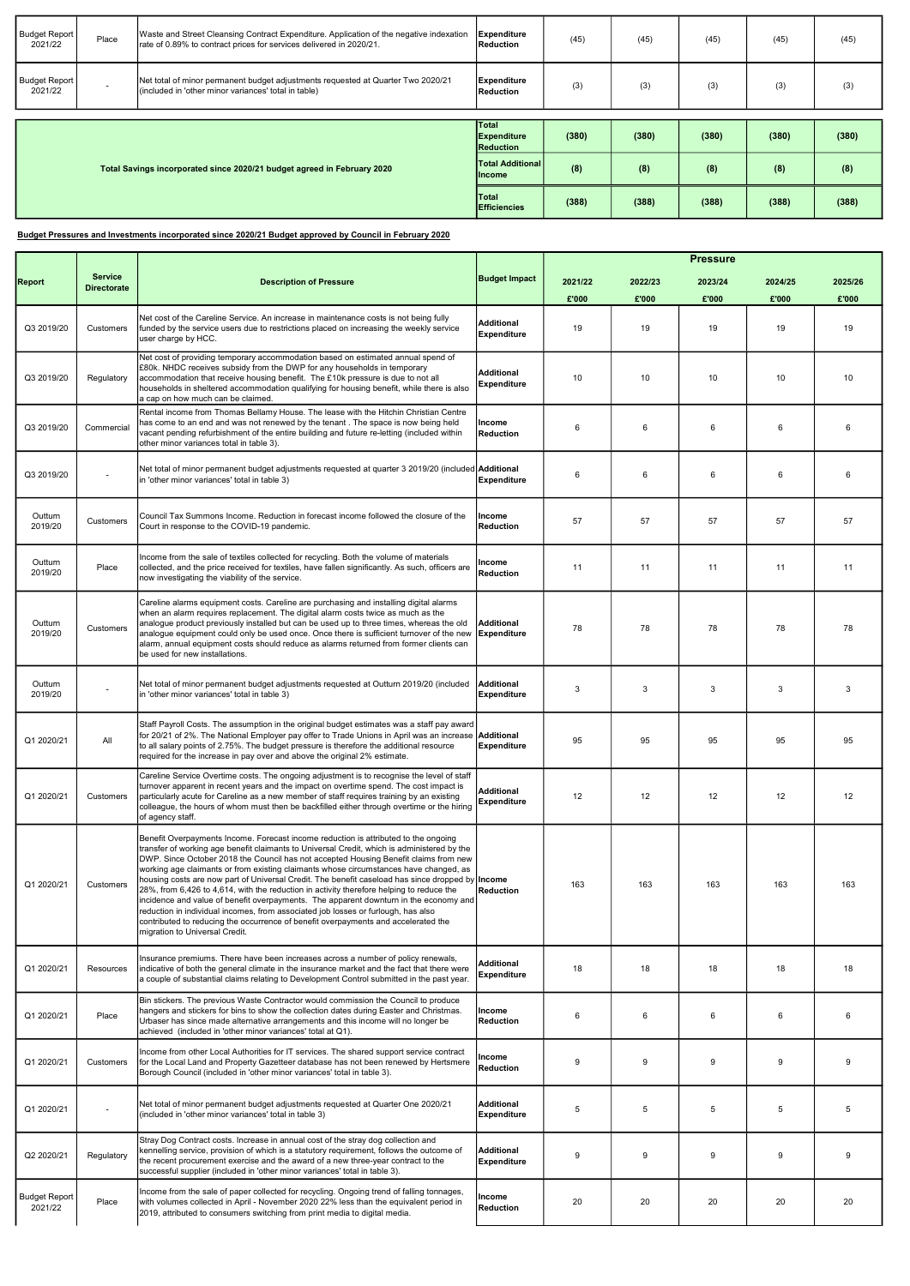## Budget Pressures and Investments incorporated since 2020/21 Budget approved by Council in February 2020

| <b>Budget Report</b><br>2021/22 | Place                    | Waste and Street Cleansing Contract Expenditure. Application of the negative indexation<br>rate of 0.89% to contract prices for services delivered in 2020/21. | Expenditure<br>Reduction                 | (45)  | (45)  | (45)  | (45)  | (45)  |
|---------------------------------|--------------------------|----------------------------------------------------------------------------------------------------------------------------------------------------------------|------------------------------------------|-------|-------|-------|-------|-------|
| Budget Report<br>2021/22        | $\overline{\phantom{0}}$ | Net total of minor permanent budget adjustments requested at Quarter Two 2020/21<br>(included in 'other minor variances' total in table)                       | Expenditure<br>Reduction                 | (3)   | (3)   | (3)   | (3)   | (3)   |
|                                 |                          |                                                                                                                                                                | <b>Total</b>                             |       |       |       |       |       |
|                                 |                          |                                                                                                                                                                |                                          |       |       |       |       |       |
|                                 |                          |                                                                                                                                                                | Expenditure<br>Reduction                 | (380) | (380) | (380) | (380) | (380) |
|                                 |                          | Total Savings incorporated since 2020/21 budget agreed in February 2020                                                                                        | <b>Total Additional</b><br><b>Income</b> | (8)   | (8)   | (8)   | (8)   | (8)   |

|                                 |                                      |                                                                                                                                                                                                                                                                                                                                                                                                                                                                                                                                                                                                                                                                                                                                                                                                                                                                                  |                                         |                   |                  | <b>Pressure</b>  |                  |                  |
|---------------------------------|--------------------------------------|----------------------------------------------------------------------------------------------------------------------------------------------------------------------------------------------------------------------------------------------------------------------------------------------------------------------------------------------------------------------------------------------------------------------------------------------------------------------------------------------------------------------------------------------------------------------------------------------------------------------------------------------------------------------------------------------------------------------------------------------------------------------------------------------------------------------------------------------------------------------------------|-----------------------------------------|-------------------|------------------|------------------|------------------|------------------|
| Report                          | <b>Service</b><br><b>Directorate</b> | <b>Description of Pressure</b>                                                                                                                                                                                                                                                                                                                                                                                                                                                                                                                                                                                                                                                                                                                                                                                                                                                   | <b>Budget Impact</b>                    | 2021/22<br>£'000  | 2022/23<br>£'000 | 2023/24<br>£'000 | 2024/25<br>£'000 | 2025/26<br>£'000 |
| Q3 2019/20                      | Customers                            | Net cost of the Careline Service. An increase in maintenance costs is not being fully<br>funded by the service users due to restrictions placed on increasing the weekly service<br>user charge by HCC.                                                                                                                                                                                                                                                                                                                                                                                                                                                                                                                                                                                                                                                                          | <b>Additional</b><br><b>Expenditure</b> | 19                | 19               | 19               | 19               | 19               |
| Q3 2019/20                      | Regulatory                           | Net cost of providing temporary accommodation based on estimated annual spend of<br>£80k. NHDC receives subsidy from the DWP for any households in temporary<br>accommodation that receive housing benefit. The £10k pressure is due to not all<br>households in sheltered accommodation qualifying for housing benefit, while there is also<br>a cap on how much can be claimed.                                                                                                                                                                                                                                                                                                                                                                                                                                                                                                | <b>Additional</b><br>Expenditure        | 10                | 10               | 10               | 10               | 10               |
| Q3 2019/20                      | Commercial                           | Rental income from Thomas Bellamy House. The lease with the Hitchin Christian Centre<br>has come to an end and was not renewed by the tenant . The space is now being held<br>vacant pending refurbishment of the entire building and future re-letting (included within<br>other minor variances total in table 3).                                                                                                                                                                                                                                                                                                                                                                                                                                                                                                                                                             | Income<br><b>Reduction</b>              | 6                 | 6                | 6                | 6                | 6                |
| Q3 2019/20                      |                                      | Net total of minor permanent budget adjustments requested at quarter 3 2019/20 (included <b>Additional</b><br>in 'other minor variances' total in table 3)                                                                                                                                                                                                                                                                                                                                                                                                                                                                                                                                                                                                                                                                                                                       | <b>Expenditure</b>                      | 6                 | 6                | 6                | 6                | 6                |
| Outturn<br>2019/20              | Customers                            | Council Tax Summons Income. Reduction in forecast income followed the closure of the<br>Court in response to the COVID-19 pandemic.                                                                                                                                                                                                                                                                                                                                                                                                                                                                                                                                                                                                                                                                                                                                              | Income<br><b>Reduction</b>              | 57                | 57               | 57               | 57               | 57               |
| Outturn<br>2019/20              | Place                                | Income from the sale of textiles collected for recycling. Both the volume of materials<br>collected, and the price received for textiles, have fallen significantly. As such, officers are<br>now investigating the viability of the service.                                                                                                                                                                                                                                                                                                                                                                                                                                                                                                                                                                                                                                    | Income<br><b>Reduction</b>              | 11                | 11               | 11               | 11               | 11               |
| Outturn<br>2019/20              | Customers                            | Careline alarms equipment costs. Careline are purchasing and installing digital alarms<br>when an alarm requires replacement. The digital alarm costs twice as much as the<br>analogue product previously installed but can be used up to three times, whereas the old<br>analogue equipment could only be used once. Once there is sufficient turnover of the new<br>alarm, annual equipment costs should reduce as alarms returned from former clients can<br>be used for new installations.                                                                                                                                                                                                                                                                                                                                                                                   | Additional<br>Expenditure               | 78                | 78               | 78               | 78               | 78               |
| Outturn<br>2019/20              |                                      | Net total of minor permanent budget adjustments requested at Outturn 2019/20 (included<br>in 'other minor variances' total in table 3)                                                                                                                                                                                                                                                                                                                                                                                                                                                                                                                                                                                                                                                                                                                                           | Additional<br><b>Expenditure</b>        | 3                 | 3                | 3                | 3                | 3                |
| Q1 2020/21                      | All                                  | Staff Payroll Costs. The assumption in the original budget estimates was a staff pay award<br>for 20/21 of 2%. The National Employer pay offer to Trade Unions in April was an increase <b>Additional</b><br>to all salary points of 2.75%. The budget pressure is therefore the additional resource<br>required for the increase in pay over and above the original 2% estimate.                                                                                                                                                                                                                                                                                                                                                                                                                                                                                                | Expenditure                             | 95                |                  |                  |                  | 95               |
| Q1 2020/21                      | Customers                            | Careline Service Overtime costs. The ongoing adjustment is to recognise the level of staff<br>turnover apparent in recent years and the impact on overtime spend. The cost impact is<br>particularly acute for Careline as a new member of staff requires training by an existing<br>colleague, the hours of whom must then be backfilled either through overtime or the hiring<br>of agency staff.                                                                                                                                                                                                                                                                                                                                                                                                                                                                              | <b>Additional</b><br><b>Expenditure</b> | $12 \overline{ }$ | 12               | 12               | 12               | 12               |
| Q1 2020/21                      | Customers                            | Benefit Overpayments Income. Forecast income reduction is attributed to the ongoing<br>transfer of working age benefit claimants to Universal Credit, which is administered by the<br>DWP. Since October 2018 the Council has not accepted Housing Benefit claims from new<br>working age claimants or from existing claimants whose circumstances have changed, as<br>housing costs are now part of Universal Credit. The benefit caseload has since dropped by <b>Income</b><br>28%, from 6,426 to 4,614, with the reduction in activity therefore helping to reduce the<br>incidence and value of benefit overpayments. The apparent downturn in the economy and<br>reduction in individual incomes, from associated job losses or furlough, has also<br>contributed to reducing the occurrence of benefit overpayments and accelerated the<br>migration to Universal Credit. | Reduction                               | 163               | 163              | 163              | 163              | 163              |
| Q1 2020/21                      | Resources                            | Insurance premiums. There have been increases across a number of policy renewals,<br>indicative of both the general climate in the insurance market and the fact that there were<br>a couple of substantial claims relating to Development Control submitted in the past year.                                                                                                                                                                                                                                                                                                                                                                                                                                                                                                                                                                                                   | <b>Additional</b><br><b>Expenditure</b> | 18                | 18               | 18               | 18               | 18               |
| Q1 2020/21                      | Place                                | Bin stickers. The previous Waste Contractor would commission the Council to produce<br>hangers and stickers for bins to show the collection dates during Easter and Christmas.<br>Urbaser has since made alternative arrangements and this income will no longer be<br>achieved (included in 'other minor variances' total at Q1).                                                                                                                                                                                                                                                                                                                                                                                                                                                                                                                                               | Income<br><b>Reduction</b>              | 6                 | 6                | 6                | 6                | 6                |
| Q1 2020/21                      | Customers                            | Income from other Local Authorities for IT services. The shared support service contract<br>for the Local Land and Property Gazetteer database has not been renewed by Hertsmere<br>Borough Council (included in 'other minor variances' total in table 3).                                                                                                                                                                                                                                                                                                                                                                                                                                                                                                                                                                                                                      | Income<br><b>Reduction</b>              | 9                 | 9                | 9                | 9                | 9                |
| Q1 2020/21                      |                                      | Net total of minor permanent budget adjustments requested at Quarter One 2020/21<br>(included in 'other minor variances' total in table 3)                                                                                                                                                                                                                                                                                                                                                                                                                                                                                                                                                                                                                                                                                                                                       | <b>Additional</b><br><b>Expenditure</b> | 5                 | 5                | 5                | 5                | 5                |
| Q2 2020/21                      | Regulatory                           | Stray Dog Contract costs. Increase in annual cost of the stray dog collection and<br>kennelling service, provision of which is a statutory requirement, follows the outcome of<br>the recent procurement exercise and the award of a new three-year contract to the<br>successful supplier (included in 'other minor variances' total in table 3).                                                                                                                                                                                                                                                                                                                                                                                                                                                                                                                               | Additional<br><b>Expenditure</b>        | 9                 | 9                | 9                | 9                | 9                |
| <b>Budget Report</b><br>2021/22 | Place                                | Income from the sale of paper collected for recycling. Ongoing trend of falling tonnages,<br>with volumes collected in April - November 2020 22% less than the equivalent period in<br>2019, attributed to consumers switching from print media to digital media.                                                                                                                                                                                                                                                                                                                                                                                                                                                                                                                                                                                                                | Income<br><b>Reduction</b>              | 20                | 20               | 20               | 20               | 20               |